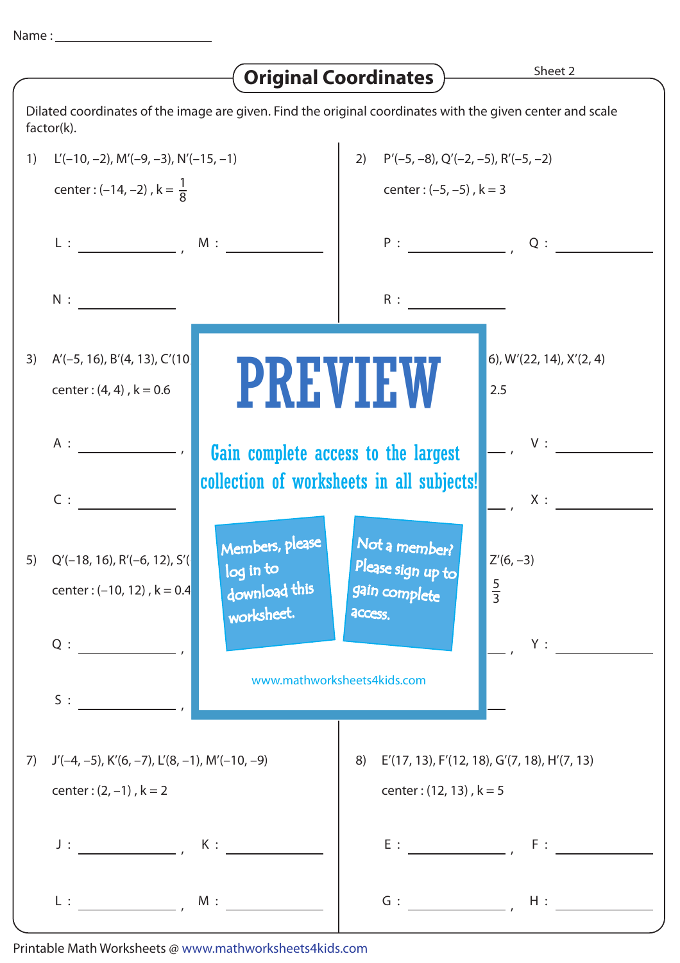|  | Name |  |
|--|------|--|
|  |      |  |

|                                                                                                                         |                                                                                                                                                                                                                                                                                                                                                                                                                                                                                         | <b>Original Coordinates</b>                                                      | Sheet 2                                                                                 |  |  |
|-------------------------------------------------------------------------------------------------------------------------|-----------------------------------------------------------------------------------------------------------------------------------------------------------------------------------------------------------------------------------------------------------------------------------------------------------------------------------------------------------------------------------------------------------------------------------------------------------------------------------------|----------------------------------------------------------------------------------|-----------------------------------------------------------------------------------------|--|--|
| Dilated coordinates of the image are given. Find the original coordinates with the given center and scale<br>factor(k). |                                                                                                                                                                                                                                                                                                                                                                                                                                                                                         |                                                                                  |                                                                                         |  |  |
| 1)                                                                                                                      | $L'(-10, -2)$ , M' $(-9, -3)$ , N' $(-15, -1)$                                                                                                                                                                                                                                                                                                                                                                                                                                          |                                                                                  | 2) $P'(-5, -8)$ , $Q'(-2, -5)$ , $R'(-5, -2)$                                           |  |  |
|                                                                                                                         | center : $(-14, -2)$ , $k = \frac{1}{8}$                                                                                                                                                                                                                                                                                                                                                                                                                                                |                                                                                  | center: $(-5, -5)$ , $k = 3$                                                            |  |  |
|                                                                                                                         |                                                                                                                                                                                                                                                                                                                                                                                                                                                                                         |                                                                                  | $P:$ $Q:$ $Q:$ $\overline{\phantom{a}}$                                                 |  |  |
|                                                                                                                         |                                                                                                                                                                                                                                                                                                                                                                                                                                                                                         | R:                                                                               |                                                                                         |  |  |
| 3)                                                                                                                      | $A'(-5, 16)$ , B'(4, 13), C'(10)<br>center: $(4, 4)$ , $k = 0.6$                                                                                                                                                                                                                                                                                                                                                                                                                        | <b>PREVIEW</b>                                                                   | $6$ , W'(22, 14), X'(2, 4)<br>2.5                                                       |  |  |
|                                                                                                                         | A:                                                                                                                                                                                                                                                                                                                                                                                                                                                                                      | Gain complete access to the largest<br>collection of worksheets in all subjects! | V:                                                                                      |  |  |
|                                                                                                                         | $C$ :                                                                                                                                                                                                                                                                                                                                                                                                                                                                                   |                                                                                  | X:                                                                                      |  |  |
| 5)                                                                                                                      | Members, please<br>$Q'$ (-18, 16), R'(-6, 12), S'(<br>log in to<br>download this<br>center: $(-10, 12)$ , $k = 0.4$<br>worksheet.                                                                                                                                                                                                                                                                                                                                                       | Not a member?<br>Please sign up to<br>gain complete<br>access.                   | $Z'(6, -3)$<br>$rac{5}{3}$                                                              |  |  |
|                                                                                                                         | $Q: \begin{tabular}{c} \multicolumn{3}{c} {\textbf{1}}\\ \multicolumn{3}{c} {\textbf{2}}\\ \multicolumn{3}{c} {\textbf{3}}\\ \multicolumn{3}{c} {\textbf{4}}\\ \multicolumn{3}{c} {\textbf{5}}\\ \multicolumn{3}{c} {\textbf{6}}\\ \multicolumn{3}{c} {\textbf{6}}\\ \multicolumn{3}{c} {\textbf{7}}\\ \multicolumn{3}{c} {\textbf{8}}\\ \multicolumn{3}{c} {\textbf{9}}\\ \multicolumn{3}{c} {\textbf{1}}\\ \multicolumn{3}{c} {\textbf{1}}\\ \multicolumn{3}{c} {\textbf{1}}\\ \mult$ | Y:<br>www.mathworksheets4kids.com                                                |                                                                                         |  |  |
|                                                                                                                         | S:                                                                                                                                                                                                                                                                                                                                                                                                                                                                                      |                                                                                  |                                                                                         |  |  |
| 7)                                                                                                                      | $J'(-4, -5)$ , K'(6, -7), L'(8, -1), M'(-10, -9)<br>center: $(2, -1)$ , $k = 2$                                                                                                                                                                                                                                                                                                                                                                                                         | 8)                                                                               | $E'(17, 13)$ , $F'(12, 18)$ , $G'(7, 18)$ , $H'(7, 13)$<br>center: $(12, 13)$ , $k = 5$ |  |  |
|                                                                                                                         | $J: \underline{\hspace{2.5cm}} \qquad K: \underline{\hspace{2.5cm}}$                                                                                                                                                                                                                                                                                                                                                                                                                    |                                                                                  |                                                                                         |  |  |
|                                                                                                                         | $L:$ $M:$ $M:$ $M:$                                                                                                                                                                                                                                                                                                                                                                                                                                                                     |                                                                                  |                                                                                         |  |  |

Printable Math Worksheets @ www.mathworksheets4kids.com